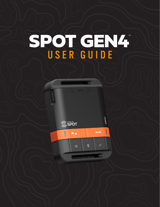# SPOT GEN4T USER GUIDE





GEN<sup>4</sup>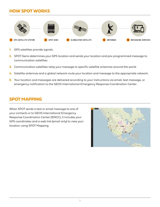# **HOW SPOT WORKS**



- **1.** GPS satellites provide signals.
- **2.** SPOT Gen4 determines your GPS location and sends your location and pre-programmed message to communication satellites.
- **3.** Communication satellites relay your message to specific satellite antennas around the world.
- **4.** Satellite antennas and a global network route your location and message to the appropriate network.
- **5.** Your location and messages are delivered according to your instructions via email, text message, or emergency notification to the GEOS International Emergency Response Coordination Center.

## **SPOT MAPPING**

When SPOT sends a text or email message to one of your contacts or to GEOS International Emergency Response Coordination Center (IERCC), it includes your GPS coordinates and a web link (email only) to view your location using SPOT Mapping.

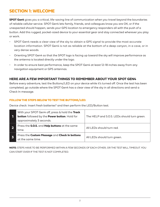# **SECTION 1: WELCOME**

**SPOT Gen4** gives you a critical, life-saving line of communication when you travel beyond the boundaries of reliable cellular service. SPOT Gen4 lets family, friends, and colleagues know you are OK, or if the unexpected should happen, sends your GPS location to emergency responders all with the push of a button. Add this rugged, pocket-sized device to your essential gear and stay connected wherever you play or work.

- SPOT Gen4 needs a clear view of the sky to obtain a GPS signal to provide the most accurate location information. SPOT Gen4 is not as reliable at the bottom of a deep canyon, in a cave, or in very dense woods.
- Orienting SPOT Gen4 so that the SPOT logo is facing up toward the sky will improve performance as the antenna is located directly under the logo.
- In order to ensure best performance, keep the SPOT Gen4 at least 12-18 inches away from any navigation equipment or GPS antennas.

### **HERE ARE A FEW IMPORTANT THINGS TO REMEMBER ABOUT YOUR SPOT GEN4**

Before every adventure, test the Buttons/LED on your device while it's turned off. Once the test has been completed, go outside where the SPOT Gen4 has a clear view of the sky in all directions and send a Check In message.

#### **FOLLOW THE STEPS BELOW TO TEST THE BUTTONS/LED:**

Device check: Insert fresh batteries\* and then perform the LED/Button test.

| With your SPOT Gen4 off, press & hold the Track<br>button followed by the Power button. Hold for<br>approximately 3 seconds. | The HELP and S.O.S. LEDs should turn green. |
|------------------------------------------------------------------------------------------------------------------------------|---------------------------------------------|
| Press the S.O.S. and Help buttons at the same<br>time.                                                                       | All LEDs should turn red.                   |
| Press the Custom Message and Check In buttons<br>at the same time.                                                           | All LEDs should turn green.                 |

**NOTE:** STEPS HAVE TO BE PERFORMED WITHIN A FEW SECONDS OF EACH OTHER, OR THE TEST WILL TIMEOUT. YOU CAN START OVER IF THE TEST IS NOT COMPLETED.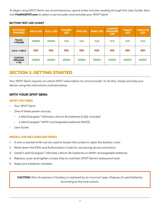To begin using SPOT Gen4, we recommend you spend a few minutes reading through this User Guide, then visit **FindMeSPOT.com** to select a service plan and activate your SPOT Gen4.

| <b>BUTTONS</b><br><b>PRESSED</b>          | <b>HELP LED</b> | <b>S.O.S. LED</b> | <b>POWER</b><br><b>LED</b> | <b>GPS LED</b> | <b>SEND LED</b> | <b>CUSTOM</b><br><b>MESSAGE</b><br><b>LED</b> | <b>TRACK</b><br><b>LED</b> | <b>CHECK IN</b><br><b>LED</b> |
|-------------------------------------------|-----------------|-------------------|----------------------------|----------------|-----------------|-----------------------------------------------|----------------------------|-------------------------------|
| <b>TRACK</b><br>+ POWER                   | <b>GREEN</b>    | <b>GREEN</b>      | N/A                        | N/A            | N/A             | N/A                                           | N/A                        | N/A                           |
| $S.O.S. + HELP$                           | <b>RED</b>      | <b>RED</b>        | <b>RED</b>                 | <b>RED</b>     | <b>RED</b>      | <b>RED</b>                                    | <b>RED</b>                 | <b>RED</b>                    |
| <b>CUSTOM</b><br><b>MESSAGE</b><br>$+ OK$ | <b>GREEN</b>    | <b>GREEN</b>      | <b>GREEN</b>               | <b>GREEN</b>   | <b>GREEN</b>    | <b>GREEN</b>                                  | <b>GREEN</b>               | <b>GREEN</b>                  |

#### **BUTTON TEST LED CHART**

# **SECTION 2: GETTING STARTED**

Your SPOT Gen4 requires an active SPOT subscription to communicate. To do this, simply activate your device using the instructions outlined below.

### **WITH YOUR SPOT GEN4**

#### **WHAT YOU NEED**

- Your SPOT Gen4
- One of these power sources:
	- 4 AAA Energizer® Ultimate Lithium 8x batteries (L92); included
	- 4 AAA Energizer® NiMH rechargeable batteries (NH12)
- User Guide

#### **INSTALL THE INCLUDED BATTERIES**

- 1. A coin or pocket knife can be used to loosen the screws to open the battery cover.
- 2. Write down the ESN and Authorization Code for use during service activation.
- 3. Install 4 AAA Energizer® Ultimate Lithium 8x batteries or NiMH rechargeable batteries.
- 4. Replace cover and tighten screws fully to maintain SPOT Gen4's waterproof seal.
- 5. Keep your batteries installed.

**CAUTION:** Risk of explosion if battery is replaced by an incorrect type. Dispose of used batteries according to the instructions.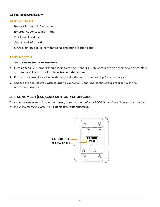#### **AT FINDMESPOT.COM**

#### **WHAT YOU NEED**

- Personal contact information
- Emergency contact information
- Valid email address
- Credit card information
- SPOT electronic serial number (ESN) and authorization code

#### **ACCOUNT SETUP**

- 1. Go to **FindMeSPOT.com/Activate**.
- 2. Existing SPOT customers should login to their current SPOT My Account to add their new device. New customers will need to select: **New Account Activation**.
- 3. Follow the instructions given within the activation portal; do not skip forms or pages.
- 4. Choose the services you wish to add to your SPOT Gen4 and confirm your order to finish the activation process.

#### **SERIAL NUMBER (ESN) AND AUTHORIZATION CODE**

These codes are located inside the battery compartment of your SPOT Gen4. You will need these codes when setting up your account on **FindMeSPOT.com/Activate**.

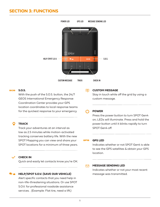# **SECTION 3: FUNCTIONS**



#### sos **S.O.S.**

With the push of the S.O.S. button, the 24/7 GEOS International Emergency Response Coordination Center provides your GPS location coordinates to local response teams for the quickest response to your emergency.

#### **TRACK**

Track your adventures at an interval as low as 2.5 minutes while motion-activated tracking conserves battery life. With the new SPOT Mapping you can view and share your SPOT locations for a minimum of three years.

#### **CHECK IN**

Quick and easily let contacts know you're OK.

#### **HELP/SPOT S.O.V. (SAVE OUR VEHICLE)**

Alert specific contacts that you need help in non-life-threatening situations. Or use SPOT S.O.V. for professional roadside assistance services. . (Example: Flat tire, need a lift.)

国 **CUSTOM MESSAGE**

> Stay in touch while off the grid by using a custom message.

#### **POWER**

Press the power button to turn SPOT Gen4 on; LEDs will illuminate. Press and hold the power button until it blinks rapidly to turn SPOT Gen4 off.

#### **GPS GPS LED**

Indicates whether or not SPOT Gen4 is able to see the GPS satellites & obtain your GPS location.

#### $\triangleright$ **MESSAGE SENDING LED**

Indicates whether or not your most recent message was transmitted.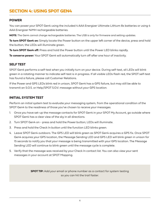# **SECTION 4: USING SPOT GEN4**

#### **POWER**

You can power your SPOT Gen4 using the included 4 AAA Energizer Ultimate Lithium 8x batteries or using 4 AAA Energizer NiMH rechargeable batteries.

**NOTE:** The Gen4 cannot charge rechargeable batteries. The USB is only for firmware and setting updates.

**To turn SPOT Gen4 on:** Simply locate the Power button on the upper left corner of the device, press and hold the button; the LEDs will illuminate green.

**To turn SPOT Gen4 off:** Press and hold the Power button until the Power LED blinks rapidly.

**To conserve power:** Your SPOT Gen4 will automatically turn off after one hour of inactivity.

#### **SELF TEST**

SPOT Gen4 performs a self-test when you initially turn on your device. During self-test, all LEDs will blink green in a rotating manner to indicate self-test is in progress. If all visible LEDs flash red, the SPOT self-test has found a failure, please call Customer Relations.

If the Power and GPS LEDs blink red in unison, SPOT Gen4 has a GPS failure, but may still be able to transmit an S.O.S. or Help/SPOT S.O.V. message without your GPS location.

#### **INITIAL SYSTEM TEST**

Perform an initial system test to evaluate your messaging system, from the operational condition of the SPOT Gen4 to the readiness of those you've chosen to receive your messages.

- 1. Once you have set-up the message contacts for SPOT Gen4 in your SPOT My Account, go outside where SPOT Gen4 has a clear view of the sky in all directions.
- 2. Turn SPOT Gen4 on press and hold the Power button; LEDs will illuminate.
- 3. Press and hold the Check In button until the function LED blinks green.
- 4. Leave SPOT Gen4 outdoors. The GPS LED will blink green as SPOT Gen4 acquires a GPS fix. Once SPOT Gen4 acquires your GPS location, the Message Sending LED and GPS LED will blink green in unison for 15 seconds to notify you that your message is being transmitted with your GPS location. The Message Sending LED will continue to blink green until the message cycle is complete.
- 5. Verify that the message was received by your Check In contact list. You can also view your sent messages in your account at SPOT Mapping.

**SPOT TIP:** Add your email or phone number as a contact for system testing so you can hit the trail faster.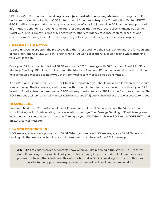#### **S.O.S.**

SPOT Gen4's S.O.S. function should *only be used for critical, life-threatening situations*. Pressing the S.O.S. button sends an alert directly to GEOS International Emergency Response Coordination Center (IERCC). GEOS notifies the appropriate emergency responders of your S.O.S. based on GPS location and personal information. Depending on your GPS location, responders may include local police, highway patrol, the Coast Guard, your country's embassy or consulate, other emergency response centers, or search and rescue teams. Sending false S.O.S. messages may subject you to liability for additional charges.

#### **USING THE S.O.S. FUNCTION**

To send an S.O.S. alert, open the protective flap then press and hold the S.O.S. button until the function LED blinks green. The GPS LED will blink green when SPOT Gen4 sees the GPS satellites and while obtaining your GPS location.

Once your GPS location is obtained, SPOT sends your S.O.S. message with GPS location. The GPS LED and Message Sending LED will both blink green. The Message Sending LED continues to blink green until the next scheduled message to notify you that your most recent message was transmitted.

If no GPS signal is found, the GPS LED will blink red. If possible, you should move to a location with a clearer view of the sky. The first message will be sent within one minute after activation with or without your GPS location. For all subsequent messages, SPOT will keep looking for your GPS location for up to 4 minutes. The S.O.S. message will send every 5 minutes (with or without GPS) until cancelled or the power source runs out.

#### **TO CANCEL S.O.S.**

Press and hold the S.O.S. button until the LED blinks red. Let SPOT Gen4 work until the S.O.S. button stops blinking red to finish sending the cancellation message. The Message Sending LED will blink green indicating it has sent the cancel message. Turning off your SPOT Gen4 while in S.O.S. mode **DOES NOT** send an S.O.S. cancel message.

#### **HOW SPOT PRIORITIZES S.O.S.**

S.O.S. messages are the top priority for SPOT. When you send an S.O.S. message, your SPOT Gen4 stops sending all other messages to allow for uninterrupted transmission of the S.O.S. message.

**SPOT TIP:** Let your emergency contacts know when you are planning a trip. When GEOS receives an S.O.S. message, they will first call your contacts asking for pertinent details like your itinerary, planned route, or other identifiers. This information helps GEOS in working with local authorities to evaluate the appropriate response team needed and send rescue personnel fast.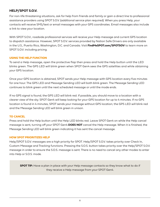#### **HELP/SPOT S.O.V.**

For non-life threatening situations, ask for help from friends and family or gain a direct line to professional assistance providers using SPOT S.O.V. (additional service plan required). When you press Help, your contacts will receive SMS/text or email messages with your GPS coordinates. Email messages also include a link to view your location.

With SPOT S.O.V., roadside professional services will receive your Help message and current GPS location to dispatch assistance. However, SPOT S.O.V. services provided by Nation Safe Drivers are only available in the U.S., Puerto Rico, Washington, D.C. and Canada. Visit **FindMeSPOT.com/SPOTSOV** to learn more on SPOT S.O.V. including pricing.

#### **USING THE HELP FUNCTION**

To send a Help message, open the protective flap then press and hold the Help button until the LED blinks green. The GPS LED will blink green when SPOT Gen4 sees the GPS satellites and while obtaining your GPS location.

Once your GPS location is obtained, SPOT sends your Help message with GPS location every five minutes for one hour. The GPS LED and Message Sending LED will both blink green. The Message Sending LED continues to blink green until the next scheduled message or until the mode ends.

If no GPS signal is found, the GPS LED will blink red. If possible, you should move to a location with a clearer view of the sky. SPOT Gen4 will keep looking for your GPS location for up to 4 minutes. If no GPS location is found in 4 minutes, SPOT sends your message without GPS location; the GPS LED will blink red and the Message Sending LED will blink green in unison.

#### **TO CANCEL**

Press and hold the Help button until the Help LED blinks red. Leave SPOT Gen4 on while the Help cancel message is sent, turning off your SPOT Gen4 **DOES NOT** cancel the Help message. When it is finished, the Message Sending LED will blink green indicating it has sent the cancel message.

#### **HOW SPOT PRIORITIZES HELP**

Help/SPOT S.O.V. messages are a high priority for SPOT. Help/SPOT S.O.V. takes priority over Check In, Custom Message and Tracking functions. Pressing the S.O.S. button takes priority over the Help/SPOT S.O.V. message in order to ensure the S.O.S. message is sent. There is no need to cancel any other modes to enter into Help or S.O.S. mode.

**SPOT TIP:** Have a plan in place with your Help message contacts so they know what to do if they receive a Help message from your SPOT Gen4.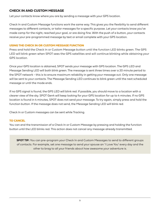#### **CHECK IN AND CUSTOM MESSAGE**

Let your contacts know where you are by sending a message with your GPS location.

Check In and Custom Message functions work the same way. This gives you the flexibility to send different messages to different contacts, or tailor messages for a specific purpose. Let your contacts know you've made camp for the night, reached your goal, or are doing fine. With the push of a button, your contacts receive your pre-programmed message by text or email complete with your GPS location.

#### **USING THE CHECK IN OR CUSTOM MESSAGE FUNCTION**

Press and hold the Check In or Custom Message button until the function LED blinks green. The GPS LED will blink green when SPOT sees the GPS satellites and will continue blinking while obtaining your GPS location.

Once your GPS location is obtained, SPOT sends your message with GPS location. The GPS LED and Message Sending LED will both blink green. The message is sent three times over a 20 minute period to the SPOT network - this is to ensure maximum reliability in getting your message out. Only one message will be sent to your contacts. The Message Sending LED continues to blink green until the next scheduled message or until the mode ends.

If no GPS signal is found, the GPS LED will blink red. If possible, you should move to a location with a clearer view of the sky. SPOT Gen4 will keep looking for your GPS location for up to 4 minutes. If no GPS location is found in 4 minutes, SPOT does not send your message. To try again, simply press and hold the function button. If the message does not send, the Message Sending LED will blink red.

Check In or Custom messages can be sent while Tracking.

#### **TO CANCEL**

You can end the transmission of a Check In or Custom Message by pressing and holding the function button until the LED blinks red. This action does not cancel any message already transmitted.

**SPOT TIP:** You can pre-program your Check In and Custom Messages to send to different groups of contacts. For example, set one message to send your spouse an 'I Love You' every day and the other to brag to all your friends about how awesome your adventure is.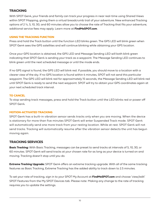#### **TRACKING**

With SPOT Gen4, your friends and family can track your progress in near real-time using Shared Views within SPOT Mapping, giving them a virtual breadcrumb trail of your adventure. New enhanced Tracking options of 2 ½, 5, 10, 30, and 60 minutes allow you to choose the rate of Tracking that fits your adventure; additional service fees may apply. Learn more at **FindMeSPOT.com**.

#### **USING THE TRACKING FUNCTION**

Press and hold the Track button until the function LED blinks green. The GPS LED will blink green when SPOT Gen4 sees the GPS satellites and will continue blinking while obtaining your GPS location.

Once your GPS location is obtained, the GPS LED and Message Sending LED will both blink green indicating that SPOT Gen4 is sending your track as a waypoint. The Message Sending LED continues to blink green until the next scheduled message or until the mode ends.

If no GPS signal is found, the GPS LED will blink red. If possible, you should move to a location with a clearer view of the sky. If no GPS location is found within 4 minutes, SPOT will not send this particular waypoint. The GPS LED will blink red for approximately 15 seconds, the Message Sending LED will blink red until SPOT Gen4 is ready to send the next waypoint. SPOT will try to obtain your GPS coordinates again at your next scheduled track interval.

#### **TO CANCEL**

To stop sending track messages, press and hold the Track button until the LED blinks red or power off SPOT Gen4.

#### **MOTION-ACTIVATED TRACKING**

SPOT Gen4 has a built-in vibration sensor sends tracks only when you are moving. When the device is stationary for more than five minutes SPOT Gen4 will enter Suspended Track mode. SPOT Gen4 will automatically send one more track from your resting location. While at rest. SPOT Gen4 will not send tracks. Tracking will automatically resume after the vibration sensor detects the unit has begun moving again.

#### **TRACKING SERVICES**

**Basic Tracking:** With Basic Tracking, messages can be preset to send tracks at intervals of 5, 10, 30, or 60 minutes. SPOT Gen4 will send tracks at your chosen rate for as long as your device is turned on and moving. Tracking doesn't stop until you do.

**Extreme Tracking Upgrade:** SPOT Gen4 offers an extreme tracking upgrade. With all of the same tracking features as Basic Tracking, Extreme Tracking has the added ability to track down to 2.5 minutes.

To set your rate of tracking, sign in to your SPOT My Account at **FindMeSPOT.com** and choose 'view/edit' SPOT Features from the My SPOT Devices tab. Please note: Making any change to the rate of tracking requires you to update the settings.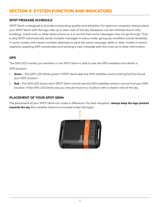#### **SPOT MESSAGE SCHEDULE**

SPOT Gen4 is designed to provide outstanding quality and reliability. For optimum reception always place your SPOT Gen4 with the logo side up in clear view of the sky. Reception can be inhibited due to hills, buildings, metal roofs or other obstructions so it is normal that some messages may not go through. That is why SPOT automatically sends multiple messages in every mode, giving you excellent overall reliability. In some modes, this means multiple attempts to send the same message, while in other modes it means regularly updating GPS coordinates and sending a new message with the most up to date information.

#### **GPS**

The GPS LED notifies you whether or not SPOT Gen4 is able to see the GPS satellites and obtain a GPS location.

- **Green** The GPS LED blinks green if SPOT Gen4 sees the GPS satellites and is looking for/has found your GPS location.
- **Red** The GPS LED blinks red if SPOT Gen4 cannot see the GPS satellites and/or cannot find your GPS location. If the GPS LED blinks red, you should move to a location with a clearer view of the sky.

### **PLACEMENT OF YOUR SPOT GEN4**

The placement of your SPOT Gen4 can make a difference. For best reception, **always keep the logo pointed towards the sky** (the satellite antenna is located under the logo).

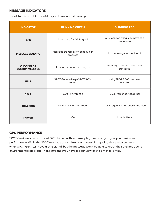#### **MESSAGE INDICATORS**

For all functions, SPOT Gen4 lets you know what it is doing.

| <b>INDICATOR</b>                            | <b>BLINKING GREEN</b>                        | <b>BLINKING RED</b>                                |  |  |
|---------------------------------------------|----------------------------------------------|----------------------------------------------------|--|--|
| <b>GPS</b>                                  | Searching for GPS signal                     | GPS location fix failed, move to a<br>new location |  |  |
| <b>MESSAGE SENDING</b>                      | Message transmission schedule in<br>progress | Last message was not sent                          |  |  |
| <b>CHECK IN OR</b><br><b>CUSTOM MESSAGE</b> | Message sequence in progress                 | Message sequence has been<br>cancelled             |  |  |
| <b>HELP</b>                                 | SPOT Gen4 in Help/SPOT S.O.V.<br>mode        | Help/SPOT S.O.V. has been<br>cancelled             |  |  |
| <b>S.O.S.</b>                               | S.O.S. is engaged                            | S.O.S. has been cancelled                          |  |  |
| <b>TRACKING</b>                             | SPOT Gen4 in Track mode                      | Track sequence has been cancelled                  |  |  |
| <b>POWER</b>                                | On                                           | Low battery                                        |  |  |

#### **GPS PERFORMANCE**

SPOT Gen4 uses an advanced GPS chipset with extremely high sensitivity to give you maximum performance. While the SPOT message transmitter is also very high quality, there may be times when SPOT Gen4 will have a GPS signal, but the message won't be able to reach the satellites due to environmental blockage. Make sure that you have a clear view of the sky at all times.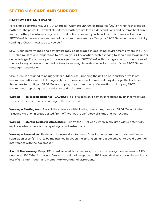# **SECTION 6: CARE AND SUPPORT**

#### **BATTERY LIFE AND USAGE**

For reliable performance, use AAA Energizer® Ultimate Lithium 8x batteries (L92) or NiMH rechargeable batteries. The power LED will blink red when batteries are low. Colder conditions and extreme heat can impact battery life. Always carry an extra set of batteries with you. Non-lithium batteries will work with SPOT Gen4 but are not recommended for optimal performance. Test your SPOT Gen4 before each trip by sending a Check In message to yourself.

SPOT Gen4 performance and battery life may be degraded in operating environments where the SPOT GPS chip must take a longer time to acquire your GPS location, such as trying to send a message under dense foliage. For optimal performance, operate your SPOT Gen4 with the logo side up in clear view of the sky. Using non-recommended battery types may degrade the performance of your SPOT Gen4's message transmission.

SPOT Gen4 is designed to be rugged for outdoor use. Dropping the unit on hard surfaces (while not recommended) should not damage it, but can cause a loss of power and may damage the batteries. Power loss turns off your SPOT Gen4, stopping any current mode of operation. If dropped, SPOT recommends replacing the batteries for optimal performance.

**Warning – Replaceable Batteries - CAUTION:** Risk of explosion if battery is replaced by an incorrect type. Dispose of used batteries according to the instructions.

**Warning – Blasting Area:** To avoid interference with blasting operations, turn your SPOT Gen4 off when in a "Blasting Area" or in areas posted "Turn off two-way radio." Obey all signs and instructions.

**Warning – Potential Explosive Atmosphere:** Turn off the SPOT Gen4 when in any area with a potentially explosive atmosphere and obey all signs and instructions.

**Warning – Pacemakers:** The Health Industry Manufacturers Association recommends that a minimum separation of six (6") inches be maintained between the SPOT Gen4 and a pacemaker to avoid potential interference with the pacemaker.

**Aircraft Use Warning:** Keep SPOT Gen4 at least 12 inches away from aircraft navigation systems or GPS antennas. SPOT Gen4 may interfere with the signal reception of GPS based devices, causing intermittent loss of GPS information and momentary operational disruptions.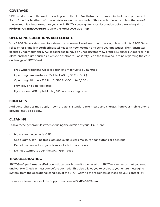#### **COVERAGE**

SPOT works around the world, including virtually all of North America, Europe, Australia and portions of South America, Northern Africa and Asia, as well as hundreds of thousands of square miles off-shore of these areas. It is important that you check SPOT's coverage for your destination before traveling. Visit **FindMeSPOT.com/Coverage** to view the latest coverage map.

#### **OPERATING CONDITIONS AND CLIMATE**

Your SPOT Gen4 is designed for adventure. However, like all electronic devices, it has its limits. SPOT Gen4 relies on GPS and low earth orbit satellites to fix your location and send your messages. The transmitter (located underneath the SPOT logo) needs to have an unobstructed view of the sky, either outdoors or in a glass-enclosed area such as a vehicle dashboard. For safety, keep the following in mind regarding the care and usage of SPOT Gen4:

- IP68 water resistant: Up to a depth of 2 m for up to 30 minutes
- Operating temperatures: -22 F to +140 F (-30 C to 60 C)
- Operating altitude: -328 ft to 21,320 ft (-100 m to 6,500 m)
- Humidity and Salt Fog rated
- If you exceed 700 mph (Mach 1) GPS accuracy degrades

#### **CONTACTS**

Additional charges may apply in some regions. Standard text messaging charges from your mobile phone provider may also apply.

#### **CLEANING**

Follow these general rules when cleaning the outside of your SPOT Gen4:

- Make sure the power is OFF
- Use a damp, soft, lint-free cloth and avoid excess moisture near buttons or openings
- Do not use aerosol sprays, solvents, alcohol or abrasives
- Do not attempt to open the SPOT Gen4 case

#### **TROUBLESHOOTING**

SPOT Gen4 performs a self-diagnostic test each time it is powered on. SPOT recommends that you send and verify a Check In message before each trip. This also allows you to evaluate your entire messaging system, from the operational condition of the SPOT Gen4 to the readiness of those on your contact list.

For more information, visit the Support section on **FindMeSPOT.com**.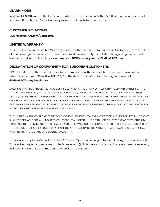## **LEARN MORE**

Visit **FindMeSPOT.com** for the latest information on SPOT Gen4 and other SPOT products and services. If you can't find what you're looking for, please do not hesitate to contact us.

#### **CUSTOMER RELATIONS**

Visit **FindMeSPOT.com/ContactUs**.

## **LIMITED WARRANTY**

Your SPOT Gen4 has a Limited Warranty for 12 months (24 months for European Customers) from the date of purchase against defects in materials and workmanship only. For full details regarding the Limited Warranty and warranty claim procedures, visit **SPOTwarranty.com** or **FindMeSPOT.com**.

## **DECLARATION OF CONFORMITY FOR EUROPEAN CUSTOMERS**

SPOT LLC declares that this SPOT Gen4 is in compliance with the essential requirements and other relevant provisions of Directive 2014/53/EU. The declaration of conformity may be consulted at **FindMeSPOT.com/Regulatory**.

EXCEPT AS PROVIDED ABOVE, THE PRODUCT IS SOLD "AS IS" WITHOUT ANY EXPRESS OR IMPLIED WARRANTIES FOR THE PRODUCT WHATSOEVER, INCLUDING, WITHOUT LIMITATION, ANY IMPLIED WARRANTIES REGARDING THE CONDITION, DESIGN, SPECIFICATIONS, WORKMANSHIP, MERCHANTABILITY OR FITNESS FOR A PARTICULAR PURPOSE OF THE PRODUCT, OR ANY WARRANTIES THAT THE PRODUCT IS FREE FROM LATENT DEFECTS OR DEFICIENCIES, OR THAT THE PRODUCT IS FREE FROM INFRINGEMENT OF ANY PATENT, TRADEMARK, COPYRIGHT OR PROPRIETARY RIGHT OF ANY THIRD PARTY AND SUCH WARRANTIES ARE HEREBY EXPRESSLY DISCLAIMED.

THIS LIMITED WARRANTY PROVIDES THE SOLE AND EXCLUSIVE REMEDY FOR ANY DEFECTS IN THE PRODUCT. IN NO EVENT SHALL WE BE LIABLE FOR ANY INDIRECT, CONSEQUENTIAL, SPECIAL, INCIDENTAL OR PUNITIVE DAMAGES, WHETHER IN CONTRACT, TORT, NEGLIGENCE, STRICT LIABILITY OR OTHERWISE. OUR LIABILITY IS LIMITED TO THE AMOUNT YOU PAID FOR THE PRODUCT THAT IS THE SUBJECT OF A CLAIM. THE APPLICABILITY OF THE ABOVE LIMITATIONS AND EXCLUSIONS MAY VARY FROM STATE TO STATE, OR COUNTRY TO COUNTRY.

This device complies with part 15 of the FCC Rules. Operation is subject to the following two conditions: (1) This device may not cause harmful interference, and (2) This device must accept any interference received, including interference that may cause undesired operation.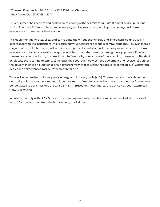\* Transmit Frequencies: 1611.25 Mhz - 1618.75 Mhz (4 Channels)

\* Max Power Out: 23.52 dBm EIRP

This equipment has been tested and found to comply with the limits for a Class B digital device, pursuant to Part 15 of the FCC Rules. These limits are designed to provide reasonable protection against harmful interference in a residential installation.

This equipment generates, uses, and can radiate radio frequency energy and, if not installed and used in accordance with the instructions, may cause harmful interference to radio communications. However, there is no guarantee that interference will not occur in a particular installation. If this equipment does cause harmful interference to radio or television reception, which can be determined by turning the equipment off and on, the user is encouraged to try to correct the interference by one or more of the following measures: a) Reorient or relocate the receiving antenna. b) Increase the separation between the equipment and receiver. c) Connect the equipment into an outlet on a circuit different from that to which the receiver is connected. d) Consult the dealer or an experienced radio/TV technician for help.

This device generates radio frequency energy at a low duty cycle (<1%). Transmitter on-time is dependent on configurable operational modes with a maximum of two 1.44 second long transmissions per five minute period. Satellite transmissions are 23.5 dBm EIRP. Based on these figures, the device has been exempted from SAR testing.

In order to comply with FCC/ISED RF Exposure requirements, this device must be installed to provide at least 20 cm separation from the human body at all times.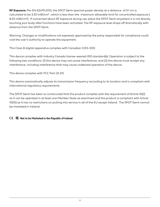**RF Exposure:** Per EN 62479:2010, the SPOT Gen4 spectral power density at a distance of 0.1 cm is calculated to be 3.33 mW/cm² , which is less than the maximum allowable limit for uncontrolled exposure ( 8.05 mW/cm²). If concerned about RF exposure during use, place the SPOT Gen4 anywhere it is not directly touching your body after functions have been activated. The RF exposure level drops off dramatically with distance from the SPOT Gen4.

Warning: Changes or modifications not expressly approved by the party responsible for compliance could void the user's authority to operate the equipment.

This Class B digital apparatus complies with Canadian ICES-003.

This device complies with Industry Canada license-exempt RSS standard(s). Operation is subject to the following two conditions: (1) this device may not cause interference, and (2) this device must accept any interference, including interference that may cause undesired operation of the device.

This device complies with FCC Part 25.213.

This device automatically adjusts its transmission frequency according to its location and is compliant with international regulatory requirements.

The SPOT Gen4 has been so constructed that the product complies with the requirement of Article 10(2) as it can be operated in at least one Member State as examined and the product is compliant with Article 10(10) as it has no restrictions on putting into service in all of the EU except Ireland. The SPOT Gen4 cannot be marketed in Ireland.

#### **IE Not to be Marketed in the Republic of Ireland**